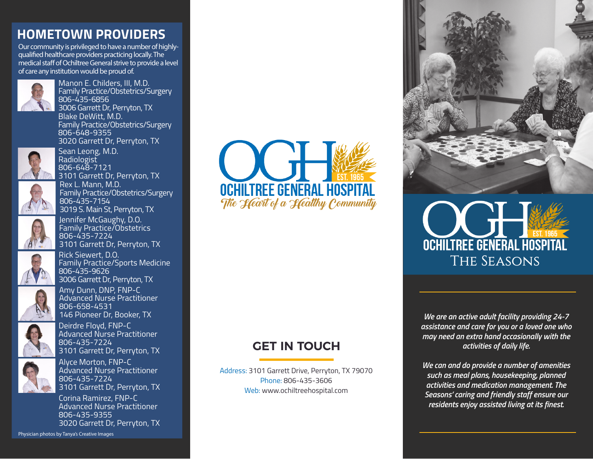# **HOMETOWN PROVIDERS**

Our community is privileged to have a number of highlyqualified healthcare providers practicing locally. The medical staff of Ochiltree General strive to provide a level of care any institution would be proud of.



Manon E. Childers, III, M.D. Family Practice/Obstetrics/Surgery 806-435-6856 3006 Garrett Dr, Perryton, TX Blake DeWitt, M.D. Family Practice/Obstetrics/Surgery 806-648-9355 3020 Garrett Dr, Perryton, TX



Sean Leong, M.D. Radiologist 806-648-7121 3101 Garrett Dr, Perryton, TX

Rex L. Mann, M.D. Family Practice/Obstetrics/Surgery 806-435-7154 3019 S. Main St, Perryton, TX



Jennifer McGaughy, D.O. Family Practice/Obstetrics 806-435-7224 3101 Garrett Dr, Perryton, TX



Rick Siewert, D.O. Family Practice/Sports Medicine 806-435-9626 3006 Garrett Dr, Perryton, TX



Amy Dunn, DNP, FNP-C Advanced Nurse Practitioner 806-658-4531 146 Pioneer Dr, Booker, TX



Deirdre Floyd, FNP-C Advanced Nurse Practitioner 806-435-7224 3101 Garrett Dr, Perryton, TX



Alyce Morton, FNP-C Advanced Nurse Practitioner 806-435-7224 3101 Garrett Dr, Perryton, TX

Corina Ramirez, FNP-C Advanced Nurse Practitioner 806-435-9355 3020 Garrett Dr, Perryton, TX

Physician photos by Tanya's Creative Images



# **GET IN TOUCH**

Address: 3101 Garrett Drive, Perryton, TX 79070 Phone: 806-435-3606 Web: www.ochiltreehospital.com



# **OCHILTREE GENERAL HOSPI** The Seasons

*We are an active adult facility providing 24-7 assistance and care for you or a loved one who may need an extra hand occasionally with the activities of daily life.*

*We can and do provide a number of amenities such as meal plans, housekeeping, planned activities and medication management. The Seasons' caring and friendly staff ensure our residents enjoy assisted living at its finest.*